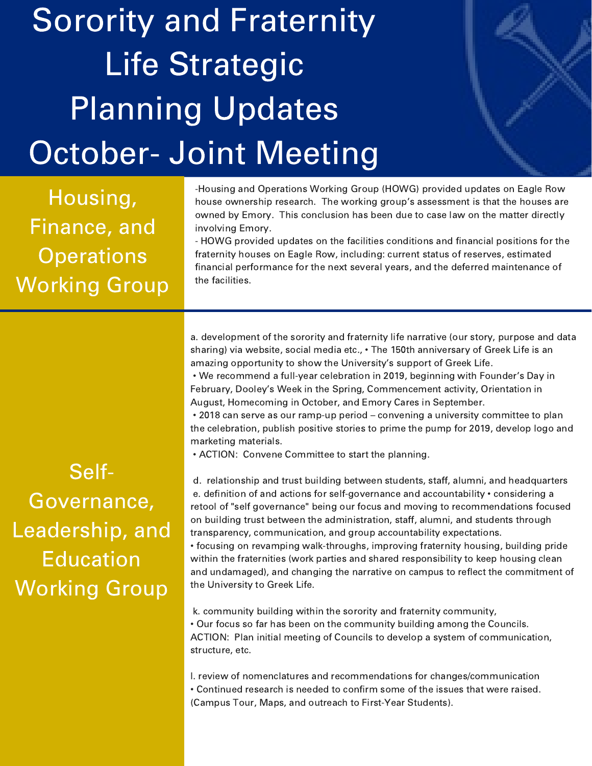## Sorority and Fraternity Life Strategic Planning Updates October- Joint Meeting

Housing, Finance, and **Operations** Working Group -Housing and Operations Working Group (HOWG) provided updates on Eagle Row house ownership research. The working group's assessment is that the houses are owned by Emory. This conclusion has been due to case law on the matter directly involving Emory.

- HOWG provided updates on the facilities conditions and financial positions for the fraternity houses on Eagle Row, including: current status of reserves, estimated financial performance for the next several years, and the deferred maintenance of the facilities.

a. development of the sorority and fraternity life narrative (our story, purpose and data sharing) via website, social media etc., • The 150th anniversary of Greek Life is an amazing opportunity to show the University's support of Greek Life.

• We recommend a full-year celebration in 2019, beginning with Founder's Day in February, Dooley's Week in the Spring, Commencement activity, Orientation in August, Homecoming in October, and Emory Cares in September.

• 2018 can serve as our ramp-up period – convening a university committee to plan the celebration, publish positive stories to prime the pump for 2019, develop logo and marketing materials.

• ACTION: Convene Committee to start the planning.

Self-Governance, Leadership, and Education Working Group

d. relationship and trust building between students, staff, alumni, and headquarters e. definition of and actions for self-governance and accountability • considering a retool of "self governance" being our focus and moving to recommendations focused on building trust between the administration, staff, alumni, and students through transparency, communication, and group accountability expectations. • focusing on revamping walk-throughs, improving fraternity housing, building pride within the fraternities (work parties and shared responsibility to keep housing clean and undamaged), and changing the narrative on campus to reflect the commitment of the University to Greek Life.

k. community building within the sorority and fraternity community, • Our focus so far has been on the community building among the Councils. ACTION: Plan initial meeting of Councils to develop a system of communication, structure, etc.

l. review of nomenclatures and recommendations for changes/communication • Continued research is needed to confirm some of the issues that were raised. (Campus Tour, Maps, and outreach to First-Year Students).